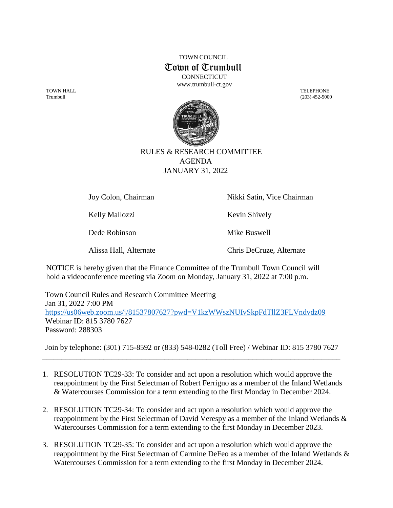TOWN COUNCIL Town of Trumbull **CONNECTICUT** 

[www.trumbull-ct.gov](http://www.trumbull-ct.gov/)

Trumbull (203) 452-5000



## RULES & RESEARCH COMMITTEE AGENDA JANUARY 31, 2022

Kelly Mallozzi Kevin Shively

Dede Robinson Mike Buswell

Joy Colon, Chairman Nikki Satin, Vice Chairman

Alissa Hall, Alternate Chris DeCruze, Alternate

NOTICE is hereby given that the Finance Committee of the Trumbull Town Council will hold a videoconference meeting via Zoom on Monday, January 31, 2022 at 7:00 p.m.

Town Council Rules and Research Committee Meeting Jan 31, 2022 7:00 PM <https://us06web.zoom.us/j/81537807627?pwd=V1kzWWszNUIvSkpFdTllZ3FLVndvdz09> Webinar ID: 815 3780 7627 Password: 288303

Join by telephone: (301) 715-8592 or (833) 548-0282 (Toll Free) / Webinar ID: 815 3780 7627 \_\_\_\_\_\_\_\_\_\_\_\_\_\_\_\_\_\_\_\_\_\_\_\_\_\_\_\_\_\_\_\_\_\_\_\_\_\_\_\_\_\_\_\_\_\_\_\_\_\_\_\_\_\_\_\_\_\_\_\_\_\_\_\_\_\_\_\_\_\_\_\_\_\_\_\_\_\_

- 1. RESOLUTION TC29-33: To consider and act upon a resolution which would approve the reappointment by the First Selectman of Robert Ferrigno as a member of the Inland Wetlands & Watercourses Commission for a term extending to the first Monday in December 2024.
- 2. RESOLUTION TC29-34: To consider and act upon a resolution which would approve the reappointment by the First Selectman of David Verespy as a member of the Inland Wetlands & Watercourses Commission for a term extending to the first Monday in December 2023.
- 3. RESOLUTION TC29-35: To consider and act upon a resolution which would approve the reappointment by the First Selectman of Carmine DeFeo as a member of the Inland Wetlands & Watercourses Commission for a term extending to the first Monday in December 2024.

TOWN HALL TELEPHONE AND THE CHARGE THE CHARGE THE CHARGE THE CHARGE THE CHARGE THE CHARGE THE CHARGE THE CHARGE THE CHARGE THE CHARGE THE CHARGE THE CHARGE THE CHARGE THE CHARGE THE CHARGE THE CHARGE THE CHARGE THE CHARGE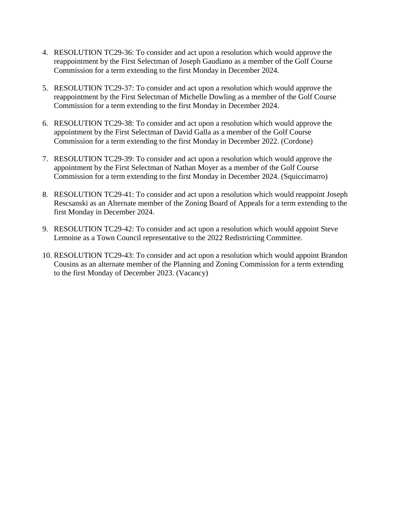- 4. RESOLUTION TC29-36: To consider and act upon a resolution which would approve the reappointment by the First Selectman of Joseph Gaudiano as a member of the Golf Course Commission for a term extending to the first Monday in December 2024.
- 5. RESOLUTION TC29-37: To consider and act upon a resolution which would approve the reappointment by the First Selectman of Michelle Dowling as a member of the Golf Course Commission for a term extending to the first Monday in December 2024.
- 6. RESOLUTION TC29-38: To consider and act upon a resolution which would approve the appointment by the First Selectman of David Galla as a member of the Golf Course Commission for a term extending to the first Monday in December 2022. (Cordone)
- 7. RESOLUTION TC29-39: To consider and act upon a resolution which would approve the appointment by the First Selectman of Nathan Moyer as a member of the Golf Course Commission for a term extending to the first Monday in December 2024. (Squiccimarro)
- 8. RESOLUTION TC29-41: To consider and act upon a resolution which would reappoint Joseph Rescsanski as an Alternate member of the Zoning Board of Appeals for a term extending to the first Monday in December 2024.
- 9. RESOLUTION TC29-42: To consider and act upon a resolution which would appoint Steve Lemoine as a Town Council representative to the 2022 Redistricting Committee.
- 10. RESOLUTION TC29-43: To consider and act upon a resolution which would appoint Brandon Cousins as an alternate member of the Planning and Zoning Commission for a term extending to the first Monday of December 2023. (Vacancy)